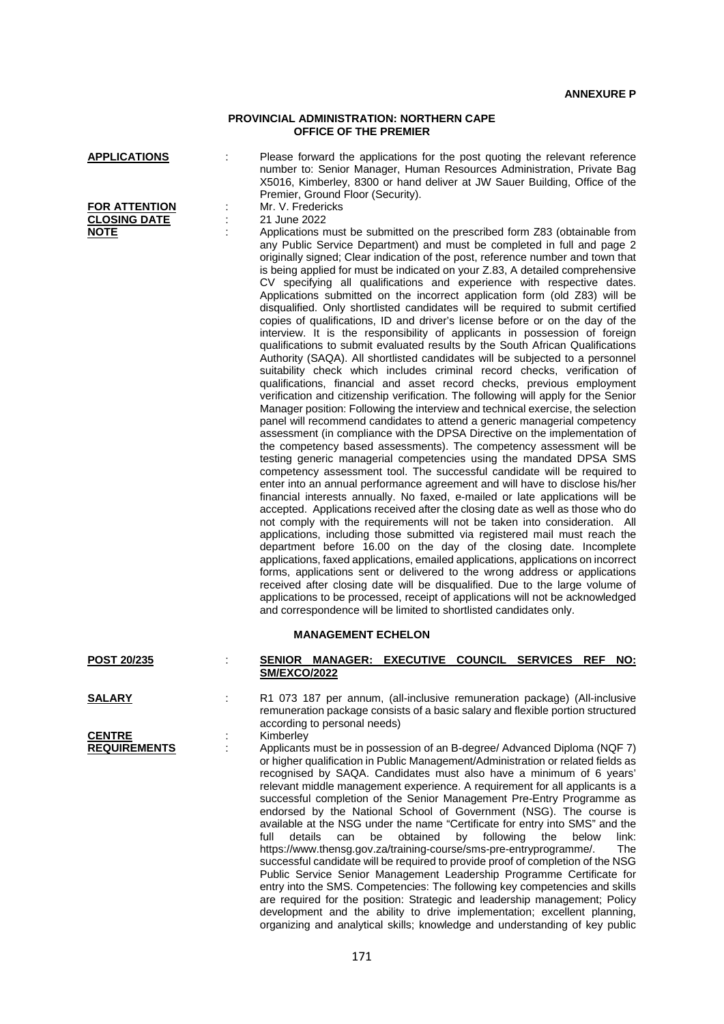## **PROVINCIAL ADMINISTRATION: NORTHERN CAPE OFFICE OF THE PREMIER**

| <b>APPLICATIONS</b><br><b>FOR ATTENTION</b><br><b>CLOSING DATE</b> | Please forward the applications for the post quoting the relevant reference<br>number to: Senior Manager, Human Resources Administration, Private Bag<br>X5016, Kimberley, 8300 or hand deliver at JW Sauer Building, Office of the<br>Premier, Ground Floor (Security).<br>Mr. V. Fredericks<br>21 June 2022                                                                                                                                                                                                                                                                                                                                                                                                                                                                                                                                                                                                                                                                                                                                                                                                                                                                                                                                                                                                                                                                                                                                                                                                                                                                                                                                                                                                                                                                                                                                                                                                                                                                                                                                                                                                                                                                                                                                                                                                                                                                                                                                                                                                              |
|--------------------------------------------------------------------|----------------------------------------------------------------------------------------------------------------------------------------------------------------------------------------------------------------------------------------------------------------------------------------------------------------------------------------------------------------------------------------------------------------------------------------------------------------------------------------------------------------------------------------------------------------------------------------------------------------------------------------------------------------------------------------------------------------------------------------------------------------------------------------------------------------------------------------------------------------------------------------------------------------------------------------------------------------------------------------------------------------------------------------------------------------------------------------------------------------------------------------------------------------------------------------------------------------------------------------------------------------------------------------------------------------------------------------------------------------------------------------------------------------------------------------------------------------------------------------------------------------------------------------------------------------------------------------------------------------------------------------------------------------------------------------------------------------------------------------------------------------------------------------------------------------------------------------------------------------------------------------------------------------------------------------------------------------------------------------------------------------------------------------------------------------------------------------------------------------------------------------------------------------------------------------------------------------------------------------------------------------------------------------------------------------------------------------------------------------------------------------------------------------------------------------------------------------------------------------------------------------------------|
| <b>NOTE</b>                                                        | Applications must be submitted on the prescribed form Z83 (obtainable from<br>any Public Service Department) and must be completed in full and page 2<br>originally signed; Clear indication of the post, reference number and town that<br>is being applied for must be indicated on your Z.83, A detailed comprehensive<br>CV specifying all qualifications and experience with respective dates.<br>Applications submitted on the incorrect application form (old Z83) will be<br>disqualified. Only shortlisted candidates will be required to submit certified<br>copies of qualifications, ID and driver's license before or on the day of the<br>interview. It is the responsibility of applicants in possession of foreign<br>qualifications to submit evaluated results by the South African Qualifications<br>Authority (SAQA). All shortlisted candidates will be subjected to a personnel<br>suitability check which includes criminal record checks, verification of<br>qualifications, financial and asset record checks, previous employment<br>verification and citizenship verification. The following will apply for the Senior<br>Manager position: Following the interview and technical exercise, the selection<br>panel will recommend candidates to attend a generic managerial competency<br>assessment (in compliance with the DPSA Directive on the implementation of<br>the competency based assessments). The competency assessment will be<br>testing generic managerial competencies using the mandated DPSA SMS<br>competency assessment tool. The successful candidate will be required to<br>enter into an annual performance agreement and will have to disclose his/her<br>financial interests annually. No faxed, e-mailed or late applications will be<br>accepted. Applications received after the closing date as well as those who do<br>not comply with the requirements will not be taken into consideration. All<br>applications, including those submitted via registered mail must reach the<br>department before 16.00 on the day of the closing date. Incomplete<br>applications, faxed applications, emailed applications, applications on incorrect<br>forms, applications sent or delivered to the wrong address or applications<br>received after closing date will be disqualified. Due to the large volume of<br>applications to be processed, receipt of applications will not be acknowledged<br>and correspondence will be limited to shortlisted candidates only. |
| POST 20/235                                                        | <b>MANAGEMENT ECHELON</b><br>SENIOR MANAGER: EXECUTIVE COUNCIL SERVICES REF<br><u>NO:</u>                                                                                                                                                                                                                                                                                                                                                                                                                                                                                                                                                                                                                                                                                                                                                                                                                                                                                                                                                                                                                                                                                                                                                                                                                                                                                                                                                                                                                                                                                                                                                                                                                                                                                                                                                                                                                                                                                                                                                                                                                                                                                                                                                                                                                                                                                                                                                                                                                                  |
|                                                                    | <b>SM/EXCO/2022</b>                                                                                                                                                                                                                                                                                                                                                                                                                                                                                                                                                                                                                                                                                                                                                                                                                                                                                                                                                                                                                                                                                                                                                                                                                                                                                                                                                                                                                                                                                                                                                                                                                                                                                                                                                                                                                                                                                                                                                                                                                                                                                                                                                                                                                                                                                                                                                                                                                                                                                                        |
| <b>SALARY</b>                                                      | R1 073 187 per annum, (all-inclusive remuneration package) (All-inclusive<br>remuneration package consists of a basic salary and flexible portion structured<br>according to personal needs)                                                                                                                                                                                                                                                                                                                                                                                                                                                                                                                                                                                                                                                                                                                                                                                                                                                                                                                                                                                                                                                                                                                                                                                                                                                                                                                                                                                                                                                                                                                                                                                                                                                                                                                                                                                                                                                                                                                                                                                                                                                                                                                                                                                                                                                                                                                               |
| <b>CENTRE</b><br><b>REQUIREMENTS</b>                               | Kimberley<br>Applicants must be in possession of an B-degree/ Advanced Diploma (NQF 7)<br>or higher qualification in Public Management/Administration or related fields as<br>recognised by SAQA. Candidates must also have a minimum of 6 years'<br>relevant middle management experience. A requirement for all applicants is a<br>successful completion of the Senior Management Pre-Entry Programme as<br>endorsed by the National School of Government (NSG). The course is<br>available at the NSG under the name "Certificate for entry into SMS" and the<br>obtained<br>by following<br>full<br>details<br>can<br>be<br>the<br>below<br>link:<br>The<br>https://www.thensg.gov.za/training-course/sms-pre-entryprogramme/.<br>successful candidate will be required to provide proof of completion of the NSG<br>Public Service Senior Management Leadership Programme Certificate for<br>entry into the SMS. Competencies: The following key competencies and skills<br>are required for the position: Strategic and leadership management; Policy                                                                                                                                                                                                                                                                                                                                                                                                                                                                                                                                                                                                                                                                                                                                                                                                                                                                                                                                                                                                                                                                                                                                                                                                                                                                                                                                                                                                                                                                |

development and the ability to drive implementation; excellent planning, organizing and analytical skills; knowledge and understanding of key public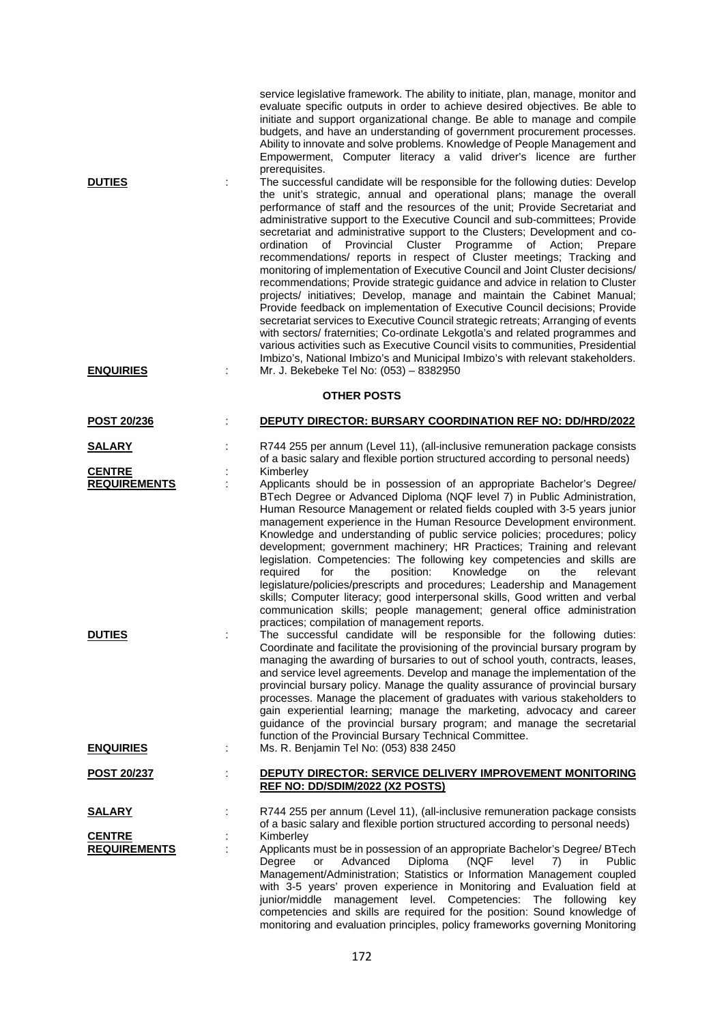|                                      | service legislative framework. The ability to initiate, plan, manage, monitor and<br>evaluate specific outputs in order to achieve desired objectives. Be able to<br>initiate and support organizational change. Be able to manage and compile<br>budgets, and have an understanding of government procurement processes.<br>Ability to innovate and solve problems. Knowledge of People Management and<br>Empowerment, Computer literacy a valid driver's licence are further                                                                                                                                                                                                                                                                                                                                                                                                                                                                                                                                                                                                                                                                                                                                                                           |
|--------------------------------------|----------------------------------------------------------------------------------------------------------------------------------------------------------------------------------------------------------------------------------------------------------------------------------------------------------------------------------------------------------------------------------------------------------------------------------------------------------------------------------------------------------------------------------------------------------------------------------------------------------------------------------------------------------------------------------------------------------------------------------------------------------------------------------------------------------------------------------------------------------------------------------------------------------------------------------------------------------------------------------------------------------------------------------------------------------------------------------------------------------------------------------------------------------------------------------------------------------------------------------------------------------|
| <b>DUTIES</b>                        | prerequisites.<br>The successful candidate will be responsible for the following duties: Develop<br>the unit's strategic, annual and operational plans; manage the overall<br>performance of staff and the resources of the unit; Provide Secretariat and<br>administrative support to the Executive Council and sub-committees; Provide<br>secretariat and administrative support to the Clusters; Development and co-<br>of Provincial<br>Cluster<br>Programme<br>of Action:<br>ordination<br>Prepare<br>recommendations/ reports in respect of Cluster meetings; Tracking and<br>monitoring of implementation of Executive Council and Joint Cluster decisions/<br>recommendations; Provide strategic guidance and advice in relation to Cluster<br>projects/ initiatives; Develop, manage and maintain the Cabinet Manual;<br>Provide feedback on implementation of Executive Council decisions; Provide<br>secretariat services to Executive Council strategic retreats; Arranging of events<br>with sectors/ fraternities; Co-ordinate Lekgotla's and related programmes and<br>various activities such as Executive Council visits to communities, Presidential<br>Imbizo's, National Imbizo's and Municipal Imbizo's with relevant stakeholders. |
| <b>ENQUIRIES</b>                     | Mr. J. Bekebeke Tel No: (053) - 8382950<br><b>OTHER POSTS</b>                                                                                                                                                                                                                                                                                                                                                                                                                                                                                                                                                                                                                                                                                                                                                                                                                                                                                                                                                                                                                                                                                                                                                                                            |
| POST 20/236                          | DEPUTY DIRECTOR: BURSARY COORDINATION REF NO: DD/HRD/2022                                                                                                                                                                                                                                                                                                                                                                                                                                                                                                                                                                                                                                                                                                                                                                                                                                                                                                                                                                                                                                                                                                                                                                                                |
| <b>SALARY</b>                        | R744 255 per annum (Level 11), (all-inclusive remuneration package consists                                                                                                                                                                                                                                                                                                                                                                                                                                                                                                                                                                                                                                                                                                                                                                                                                                                                                                                                                                                                                                                                                                                                                                              |
|                                      | of a basic salary and flexible portion structured according to personal needs)                                                                                                                                                                                                                                                                                                                                                                                                                                                                                                                                                                                                                                                                                                                                                                                                                                                                                                                                                                                                                                                                                                                                                                           |
| <b>CENTRE</b><br><b>REQUIREMENTS</b> | Kimberley<br>Applicants should be in possession of an appropriate Bachelor's Degree/<br>BTech Degree or Advanced Diploma (NQF level 7) in Public Administration,<br>Human Resource Management or related fields coupled with 3-5 years junior<br>management experience in the Human Resource Development environment.<br>Knowledge and understanding of public service policies; procedures; policy<br>development; government machinery; HR Practices; Training and relevant<br>legislation. Competencies: The following key competencies and skills are<br>required<br>position:<br>Knowledge<br>the<br>for<br>the<br>relevant<br>on<br>legislature/policies/prescripts and procedures; Leadership and Management<br>skills; Computer literacy; good interpersonal skills, Good written and verbal<br>communication skills; people management; general office administration<br>practices; compilation of management reports.                                                                                                                                                                                                                                                                                                                          |
| <b>DUTIES</b>                        | The successful candidate will be responsible for the following duties:<br>Coordinate and facilitate the provisioning of the provincial bursary program by<br>managing the awarding of bursaries to out of school youth, contracts, leases,<br>and service level agreements. Develop and manage the implementation of the<br>provincial bursary policy. Manage the quality assurance of provincial bursary<br>processes. Manage the placement of graduates with various stakeholders to<br>gain experiential learning; manage the marketing, advocacy and career<br>guidance of the provincial bursary program; and manage the secretarial<br>function of the Provincial Bursary Technical Committee.                                                                                                                                                                                                                                                                                                                                                                                                                                                                                                                                                     |
| <b>ENQUIRIES</b>                     | Ms. R. Benjamin Tel No: (053) 838 2450                                                                                                                                                                                                                                                                                                                                                                                                                                                                                                                                                                                                                                                                                                                                                                                                                                                                                                                                                                                                                                                                                                                                                                                                                   |
| <u>POST 20/237</u>                   | DEPUTY DIRECTOR: SERVICE DELIVERY IMPROVEMENT MONITORING<br>REF NO: DD/SDIM/2022 (X2 POSTS)                                                                                                                                                                                                                                                                                                                                                                                                                                                                                                                                                                                                                                                                                                                                                                                                                                                                                                                                                                                                                                                                                                                                                              |
| <u>SALARY</u>                        | R744 255 per annum (Level 11), (all-inclusive remuneration package consists                                                                                                                                                                                                                                                                                                                                                                                                                                                                                                                                                                                                                                                                                                                                                                                                                                                                                                                                                                                                                                                                                                                                                                              |
| <b>CENTRE</b><br><b>REQUIREMENTS</b> | of a basic salary and flexible portion structured according to personal needs)<br>Kimberley<br>Applicants must be in possession of an appropriate Bachelor's Degree/ BTech<br>(NQF<br>Degree<br>Advanced<br>Diploma<br>level<br>or<br>7)<br>in.<br>Public<br>Management/Administration; Statistics or Information Management coupled<br>with 3-5 years' proven experience in Monitoring and Evaluation field at<br>junior/middle management level. Competencies: The following<br>key<br>competencies and skills are required for the position: Sound knowledge of                                                                                                                                                                                                                                                                                                                                                                                                                                                                                                                                                                                                                                                                                       |

monitoring and evaluation principles, policy frameworks governing Monitoring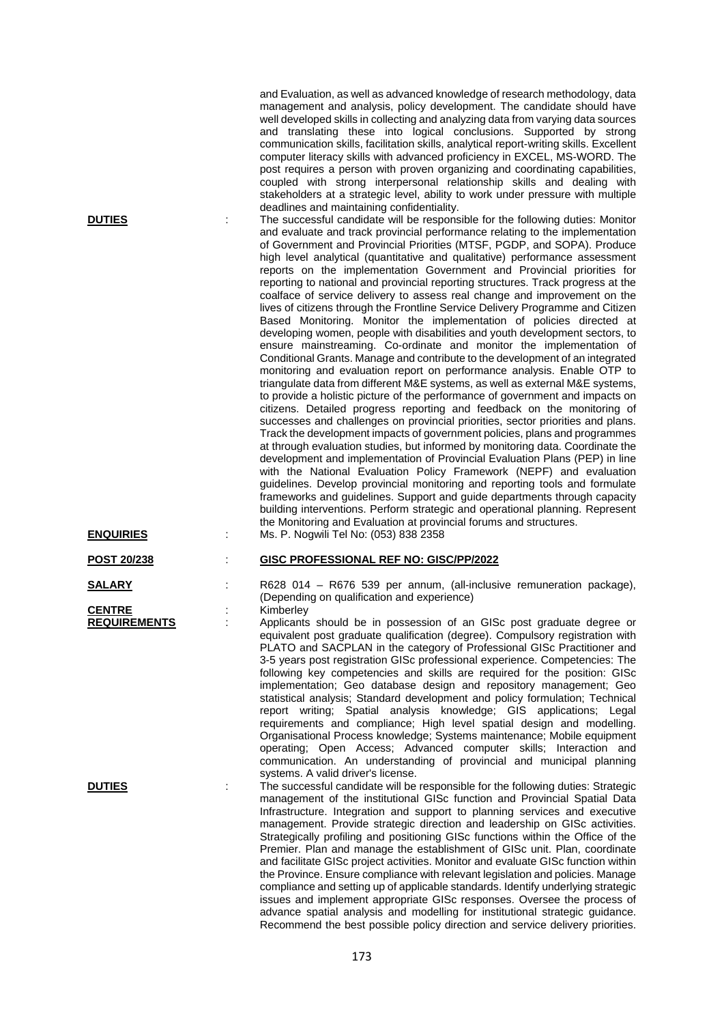| <b>DUTIES</b>       | ÷ | and Evaluation, as well as advanced knowledge of research methodology, data<br>management and analysis, policy development. The candidate should have<br>well developed skills in collecting and analyzing data from varying data sources<br>and translating these into logical conclusions. Supported by strong<br>communication skills, facilitation skills, analytical report-writing skills. Excellent<br>computer literacy skills with advanced proficiency in EXCEL, MS-WORD. The<br>post requires a person with proven organizing and coordinating capabilities,<br>coupled with strong interpersonal relationship skills and dealing with<br>stakeholders at a strategic level, ability to work under pressure with multiple<br>deadlines and maintaining confidentiality.<br>The successful candidate will be responsible for the following duties: Monitor<br>and evaluate and track provincial performance relating to the implementation<br>of Government and Provincial Priorities (MTSF, PGDP, and SOPA). Produce<br>high level analytical (quantitative and qualitative) performance assessment<br>reports on the implementation Government and Provincial priorities for<br>reporting to national and provincial reporting structures. Track progress at the<br>coalface of service delivery to assess real change and improvement on the<br>lives of citizens through the Frontline Service Delivery Programme and Citizen<br>Based Monitoring. Monitor the implementation of policies directed at<br>developing women, people with disabilities and youth development sectors, to<br>ensure mainstreaming. Co-ordinate and monitor the implementation of<br>Conditional Grants. Manage and contribute to the development of an integrated<br>monitoring and evaluation report on performance analysis. Enable OTP to<br>triangulate data from different M&E systems, as well as external M&E systems,<br>to provide a holistic picture of the performance of government and impacts on<br>citizens. Detailed progress reporting and feedback on the monitoring of<br>successes and challenges on provincial priorities, sector priorities and plans.<br>Track the development impacts of government policies, plans and programmes<br>at through evaluation studies, but informed by monitoring data. Coordinate the<br>development and implementation of Provincial Evaluation Plans (PEP) in line |
|---------------------|---|-----------------------------------------------------------------------------------------------------------------------------------------------------------------------------------------------------------------------------------------------------------------------------------------------------------------------------------------------------------------------------------------------------------------------------------------------------------------------------------------------------------------------------------------------------------------------------------------------------------------------------------------------------------------------------------------------------------------------------------------------------------------------------------------------------------------------------------------------------------------------------------------------------------------------------------------------------------------------------------------------------------------------------------------------------------------------------------------------------------------------------------------------------------------------------------------------------------------------------------------------------------------------------------------------------------------------------------------------------------------------------------------------------------------------------------------------------------------------------------------------------------------------------------------------------------------------------------------------------------------------------------------------------------------------------------------------------------------------------------------------------------------------------------------------------------------------------------------------------------------------------------------------------------------------------------------------------------------------------------------------------------------------------------------------------------------------------------------------------------------------------------------------------------------------------------------------------------------------------------------------------------------------------------------------------------------------------------------------------------------------------------------------------------------------|
| <b>ENQUIRIES</b>    |   | with the National Evaluation Policy Framework (NEPF) and evaluation<br>guidelines. Develop provincial monitoring and reporting tools and formulate<br>frameworks and guidelines. Support and guide departments through capacity<br>building interventions. Perform strategic and operational planning. Represent<br>the Monitoring and Evaluation at provincial forums and structures.<br>Ms. P. Nogwili Tel No: (053) 838 2358                                                                                                                                                                                                                                                                                                                                                                                                                                                                                                                                                                                                                                                                                                                                                                                                                                                                                                                                                                                                                                                                                                                                                                                                                                                                                                                                                                                                                                                                                                                                                                                                                                                                                                                                                                                                                                                                                                                                                                                       |
| POST 20/238         |   | <b>GISC PROFESSIONAL REF NO: GISC/PP/2022</b>                                                                                                                                                                                                                                                                                                                                                                                                                                                                                                                                                                                                                                                                                                                                                                                                                                                                                                                                                                                                                                                                                                                                                                                                                                                                                                                                                                                                                                                                                                                                                                                                                                                                                                                                                                                                                                                                                                                                                                                                                                                                                                                                                                                                                                                                                                                                                                         |
| SALARY              |   | R628 014 - R676 539 per annum, (all-inclusive remuneration package),                                                                                                                                                                                                                                                                                                                                                                                                                                                                                                                                                                                                                                                                                                                                                                                                                                                                                                                                                                                                                                                                                                                                                                                                                                                                                                                                                                                                                                                                                                                                                                                                                                                                                                                                                                                                                                                                                                                                                                                                                                                                                                                                                                                                                                                                                                                                                  |
| <b>CENTRE</b>       |   | (Depending on qualification and experience)<br>Kimberley                                                                                                                                                                                                                                                                                                                                                                                                                                                                                                                                                                                                                                                                                                                                                                                                                                                                                                                                                                                                                                                                                                                                                                                                                                                                                                                                                                                                                                                                                                                                                                                                                                                                                                                                                                                                                                                                                                                                                                                                                                                                                                                                                                                                                                                                                                                                                              |
| <b>REQUIREMENTS</b> |   | Applicants should be in possession of an GISc post graduate degree or<br>equivalent post graduate qualification (degree). Compulsory registration with<br>PLATO and SACPLAN in the category of Professional GISc Practitioner and<br>3-5 years post registration GISc professional experience. Competencies: The<br>following key competencies and skills are required for the position: GISc<br>implementation; Geo database design and repository management; Geo<br>statistical analysis; Standard development and policy formulation; Technical<br>report writing; Spatial analysis knowledge; GIS applications; Legal<br>requirements and compliance; High level spatial design and modelling.<br>Organisational Process knowledge; Systems maintenance; Mobile equipment<br>operating; Open Access; Advanced computer skills; Interaction and<br>communication. An understanding of provincial and municipal planning<br>systems. A valid driver's license.                                                                                                                                                                                                                                                                                                                                                                                                                                                                                                                                                                                                                                                                                                                                                                                                                                                                                                                                                                                                                                                                                                                                                                                                                                                                                                                                                                                                                                                     |
| <u>DUTIES</u>       |   | The successful candidate will be responsible for the following duties: Strategic<br>management of the institutional GISc function and Provincial Spatial Data<br>Infrastructure. Integration and support to planning services and executive<br>management. Provide strategic direction and leadership on GISc activities.<br>Strategically profiling and positioning GISc functions within the Office of the<br>Premier. Plan and manage the establishment of GISc unit. Plan, coordinate<br>and facilitate GISc project activities. Monitor and evaluate GISc function within<br>the Province. Ensure compliance with relevant legislation and policies. Manage<br>compliance and setting up of applicable standards. Identify underlying strategic<br>issues and implement appropriate GISc responses. Oversee the process of<br>advance spatial analysis and modelling for institutional strategic guidance.<br>Recommend the best possible policy direction and service delivery priorities.                                                                                                                                                                                                                                                                                                                                                                                                                                                                                                                                                                                                                                                                                                                                                                                                                                                                                                                                                                                                                                                                                                                                                                                                                                                                                                                                                                                                                      |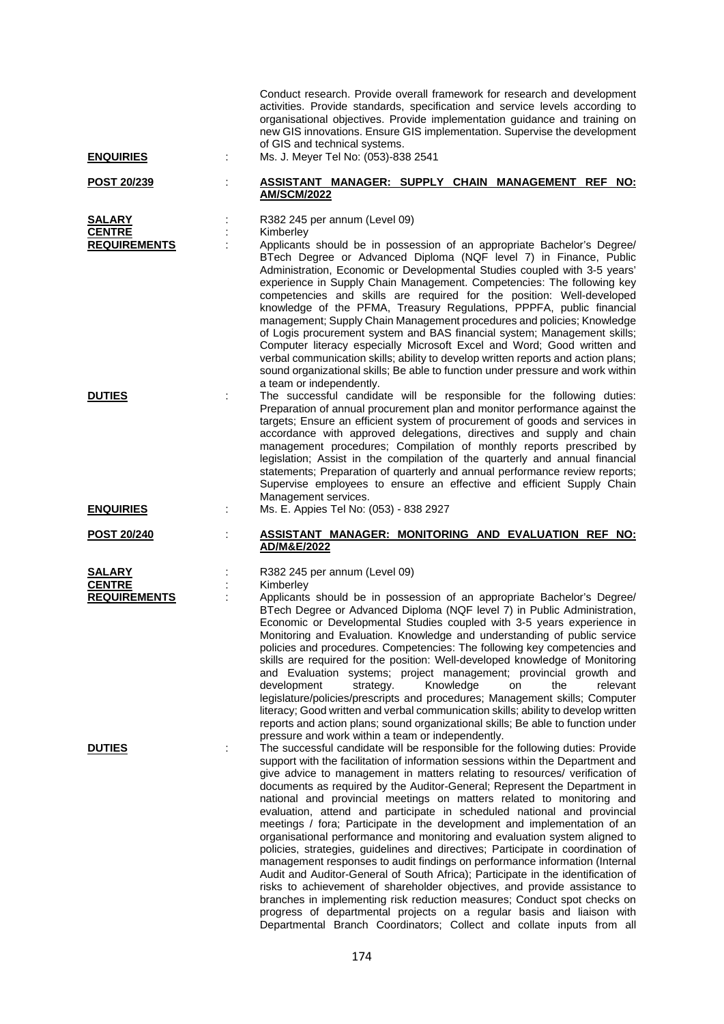| <b>ENQUIRIES</b>                                      | ÷ | Conduct research. Provide overall framework for research and development<br>activities. Provide standards, specification and service levels according to<br>organisational objectives. Provide implementation guidance and training on<br>new GIS innovations. Ensure GIS implementation. Supervise the development<br>of GIS and technical systems.<br>Ms. J. Meyer Tel No: (053)-838 2541                                                                                                                                                                                                                                                                                                                                                                                                                                                                                                                                                                                                                                                                                                                                                                                                                  |
|-------------------------------------------------------|---|--------------------------------------------------------------------------------------------------------------------------------------------------------------------------------------------------------------------------------------------------------------------------------------------------------------------------------------------------------------------------------------------------------------------------------------------------------------------------------------------------------------------------------------------------------------------------------------------------------------------------------------------------------------------------------------------------------------------------------------------------------------------------------------------------------------------------------------------------------------------------------------------------------------------------------------------------------------------------------------------------------------------------------------------------------------------------------------------------------------------------------------------------------------------------------------------------------------|
| POST 20/239                                           |   | ASSISTANT MANAGER: SUPPLY CHAIN MANAGEMENT REF<br>NO:<br><b>AM/SCM/2022</b>                                                                                                                                                                                                                                                                                                                                                                                                                                                                                                                                                                                                                                                                                                                                                                                                                                                                                                                                                                                                                                                                                                                                  |
| <b>SALARY</b><br><b>CENTRE</b><br><b>REQUIREMENTS</b> |   | R382 245 per annum (Level 09)<br>Kimberley<br>Applicants should be in possession of an appropriate Bachelor's Degree/<br>BTech Degree or Advanced Diploma (NQF level 7) in Finance, Public<br>Administration, Economic or Developmental Studies coupled with 3-5 years'<br>experience in Supply Chain Management. Competencies: The following key<br>competencies and skills are required for the position: Well-developed<br>knowledge of the PFMA, Treasury Regulations, PPPFA, public financial<br>management; Supply Chain Management procedures and policies; Knowledge<br>of Logis procurement system and BAS financial system; Management skills;<br>Computer literacy especially Microsoft Excel and Word; Good written and<br>verbal communication skills; ability to develop written reports and action plans;<br>sound organizational skills; Be able to function under pressure and work within<br>a team or independently.                                                                                                                                                                                                                                                                      |
| <b>DUTIES</b>                                         |   | The successful candidate will be responsible for the following duties:<br>Preparation of annual procurement plan and monitor performance against the<br>targets; Ensure an efficient system of procurement of goods and services in<br>accordance with approved delegations, directives and supply and chain<br>management procedures; Compilation of monthly reports prescribed by<br>legislation; Assist in the compilation of the quarterly and annual financial<br>statements; Preparation of quarterly and annual performance review reports;<br>Supervise employees to ensure an effective and efficient Supply Chain<br>Management services.                                                                                                                                                                                                                                                                                                                                                                                                                                                                                                                                                          |
| <b>ENQUIRIES</b><br><b>POST 20/240</b>                |   | Ms. E. Appies Tel No: (053) - 838 2927<br>ASSISTANT MANAGER: MONITORING AND EVALUATION REF NO:                                                                                                                                                                                                                                                                                                                                                                                                                                                                                                                                                                                                                                                                                                                                                                                                                                                                                                                                                                                                                                                                                                               |
|                                                       |   | AD/M&E/2022                                                                                                                                                                                                                                                                                                                                                                                                                                                                                                                                                                                                                                                                                                                                                                                                                                                                                                                                                                                                                                                                                                                                                                                                  |
| SALARY<br><b>CENTRE</b><br><b>REQUIREMENTS</b>        |   | R382 245 per annum (Level 09)<br>Kimberley<br>Applicants should be in possession of an appropriate Bachelor's Degree/<br>BTech Degree or Advanced Diploma (NQF level 7) in Public Administration,<br>Economic or Developmental Studies coupled with 3-5 years experience in<br>Monitoring and Evaluation. Knowledge and understanding of public service<br>policies and procedures. Competencies: The following key competencies and<br>skills are required for the position: Well-developed knowledge of Monitoring<br>and Evaluation systems; project management; provincial growth and<br>development<br>Knowledge<br>the<br>relevant<br>strategy.<br>on<br>legislature/policies/prescripts and procedures; Management skills; Computer<br>literacy; Good written and verbal communication skills; ability to develop written<br>reports and action plans; sound organizational skills; Be able to function under<br>pressure and work within a team or independently.                                                                                                                                                                                                                                    |
| <b>DUTIES</b>                                         |   | The successful candidate will be responsible for the following duties: Provide<br>support with the facilitation of information sessions within the Department and<br>give advice to management in matters relating to resources/ verification of<br>documents as required by the Auditor-General; Represent the Department in<br>national and provincial meetings on matters related to monitoring and<br>evaluation, attend and participate in scheduled national and provincial<br>meetings / fora; Participate in the development and implementation of an<br>organisational performance and monitoring and evaluation system aligned to<br>policies, strategies, guidelines and directives; Participate in coordination of<br>management responses to audit findings on performance information (Internal<br>Audit and Auditor-General of South Africa); Participate in the identification of<br>risks to achievement of shareholder objectives, and provide assistance to<br>branches in implementing risk reduction measures; Conduct spot checks on<br>progress of departmental projects on a regular basis and liaison with<br>Departmental Branch Coordinators; Collect and collate inputs from all |